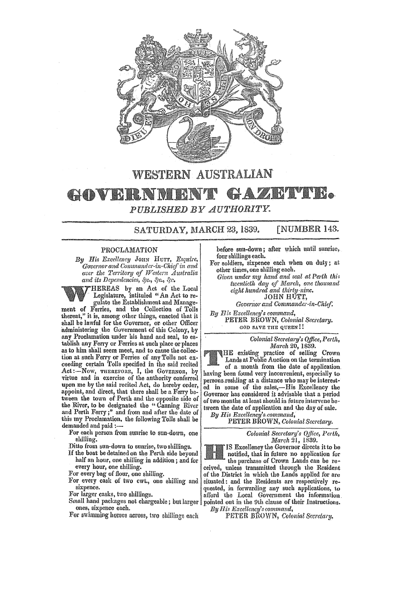

## WESTERN AUSTRALIAN GAZI BLY BO AOVERNUE *PUBLISHED Y UTHORITY.*

SATURDAY, MARCH 23, 1839. [NUMBER 143.

## PROCLAMATION

*By His Excellency* JOHN HUTT. *Esquire,*  Governor and Commander-in-Chief in and *over the Territory of IYestem Australia and its Dependencies, &c., &c.,* 

HEREAS by an Act of the Local . Legislature, intituled "An Act to regulate the Establishment and Manage-

ment of Ferries, and the Collection of Tolls thereat," it is, among other things, enacted that it shall be lawful for the Governor, or other Officer administering the Government of this Colony, by any Proclamation under his hand and seal, to es- tablish any Ferry or Ferries at such place or places as to him shall seem meet, and to cause the collection at such Ferry or Ferries of any Tolls not exceeding certain Tolls specified in the said recited Act:-Now, THEREFORE, I, the Governor, by virtue and in exercise of the authority conferred upon me by the said recited Act, do hereby order, appoint, and direct, that there shall be a Ferry between the town ef Perth and the opposite side of the River, to be designated the "Canning River and Perth Ferry;" and from. and after the date of this my Proclamation. the following Tolls shall be demanded and paid :---

For each person from sunrise to sun-down, one shilling.

Ditto from sun-down to sunrise, two shillings.

If the boat be detained on the Perth side beyond half an hour, one shilling in addition; and for every hour, one ehilling.

For every bag of flour, one shilling.

For every cask of two cwt., one shilling and sixpence.

For larger casks, two shillings.

Small hand packages not chargeable; but larger ones, sixpence each.

For swimming horses across, two shillings each

before sun-down; after which until sunrise, four shillings each.

For soldiers, sixpence each when on duty; at other times, one shilling each.

*Given under my hand and seal at Perth this twentieth day of March, onc thousand*   $eight$  hundred and thirty-nine. JOHN HUTT,

Governor and Commander-in-Chief.

By *His Excellency's command*, PETER BROWN, Colonial Secretary. GOD SAVE THE QUEEN!!

> *Colonial Secretary's Office, Pel'iI&, March* 20,1839.

HE existing practice of selling Crown Lands at Public Auction on the termination of a month from the date of application. having been found very inconvenient, especially to persons residing at a distance who may be interested in some of the sales,-His Excellency the Governor has considered it advisable that a period of two months at least should in future intervene between the date of application and the day of sale.

*By His Excellency's.command,* 

PETER BROWN, *Colonial Secretary*.

*Colonial Secretary's Office, Perth, March* 21, 1839.

IS Excellency the Governor directs it to be notified, that in future no application for the purchase of Crown Lands can be received, unless transmitted through the Resident of the District in which the Lands applied for are quested, in forwarding any such applications, to afford the Local Government the information. pointed out in the 9th clause of their Instructions.<br>*By His Excellency's command*,

PETER BROWN, *Colonial Secretary,*